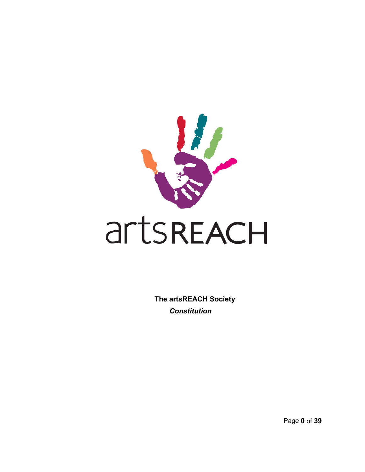

**The artsREACH Society** *Constitution* 

Page **0** of **39**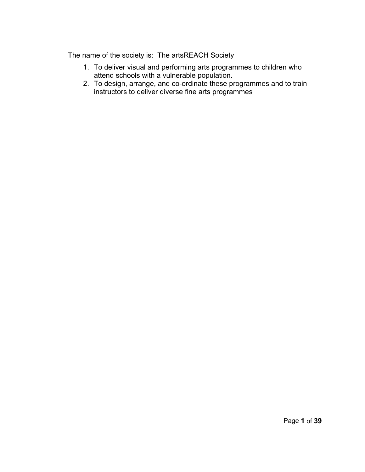The name of the society is: The artsREACH Society

- 1. To deliver visual and performing arts programmes to children who attend schools with a vulnerable population.
- 2. To design, arrange, and co-ordinate these programmes and to train instructors to deliver diverse fine arts programmes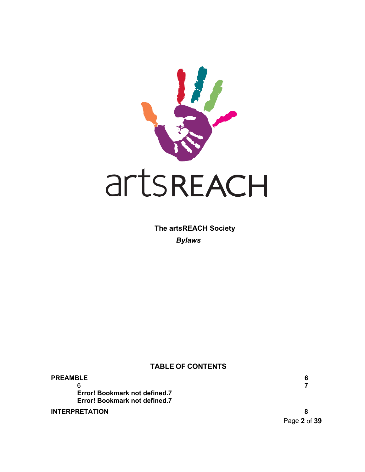

**The artsREACH Society**  *Bylaws*

# **TABLE OF CONTENTS**

**[PREAMB](#page-6-0)LE 6** 6 **7 [E](#page-6-0)rror! Bookmark not defined.7 Error! Bookmark not defined.7**

**[INTERPRETATION](#page-7-0) 8**

Page **2** of **39**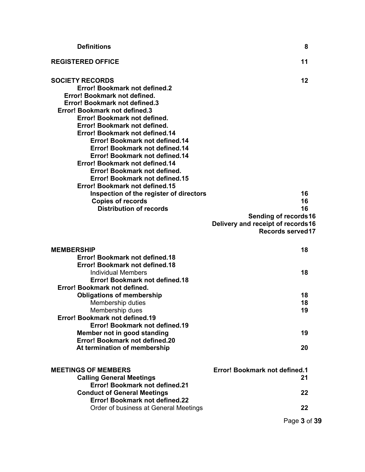| <b>Definitions</b>                                                                                                                                                                                                                                                                                                                                                                                                                                                                                                                  | 8                                                                                                      |
|-------------------------------------------------------------------------------------------------------------------------------------------------------------------------------------------------------------------------------------------------------------------------------------------------------------------------------------------------------------------------------------------------------------------------------------------------------------------------------------------------------------------------------------|--------------------------------------------------------------------------------------------------------|
| <b>REGISTERED OFFICE</b>                                                                                                                                                                                                                                                                                                                                                                                                                                                                                                            | 11                                                                                                     |
| <b>SOCIETY RECORDS</b><br><b>Error! Bookmark not defined.2</b><br>Error! Bookmark not defined.<br><b>Error! Bookmark not defined.3</b><br><b>Error! Bookmark not defined.3</b><br>Error! Bookmark not defined.<br>Error! Bookmark not defined.<br>Error! Bookmark not defined.14<br>Error! Bookmark not defined.14<br>Error! Bookmark not defined.14<br>Error! Bookmark not defined.14<br>Error! Bookmark not defined.14<br>Error! Bookmark not defined.<br><b>Error! Bookmark not defined.15</b><br>Error! Bookmark not defined.15 | 12                                                                                                     |
| Inspection of the register of directors<br><b>Copies of records</b><br><b>Distribution of records</b>                                                                                                                                                                                                                                                                                                                                                                                                                               | 16<br>16<br>16<br>Sending of records16<br>Delivery and receipt of records16<br><b>Records served17</b> |
| <b>MEMBERSHIP</b>                                                                                                                                                                                                                                                                                                                                                                                                                                                                                                                   | 18                                                                                                     |
| <b>Error! Bookmark not defined.18</b><br><b>Error! Bookmark not defined.18</b><br><b>Individual Members</b><br>Error! Bookmark not defined.18                                                                                                                                                                                                                                                                                                                                                                                       | 18                                                                                                     |
| Error! Bookmark not defined.<br><b>Obligations of membership</b><br>Membership duties<br>Membership dues<br>Error! Bookmark not defined.19<br>Error! Bookmark not defined.19<br>Member not in good standing<br>Error! Bookmark not defined.20                                                                                                                                                                                                                                                                                       | 18<br>18<br>19<br>19                                                                                   |
| At termination of membership                                                                                                                                                                                                                                                                                                                                                                                                                                                                                                        | 20                                                                                                     |
| <b>MEETINGS OF MEMBERS</b><br><b>Calling General Meetings</b><br>Error! Bookmark not defined.21                                                                                                                                                                                                                                                                                                                                                                                                                                     | <b>Error! Bookmark not defined.1</b><br>21                                                             |
| <b>Conduct of General Meetings</b><br>Error! Bookmark not defined.22                                                                                                                                                                                                                                                                                                                                                                                                                                                                | 22                                                                                                     |
| Order of business at General Meetings                                                                                                                                                                                                                                                                                                                                                                                                                                                                                               | 22                                                                                                     |
|                                                                                                                                                                                                                                                                                                                                                                                                                                                                                                                                     | Page 3 of 39                                                                                           |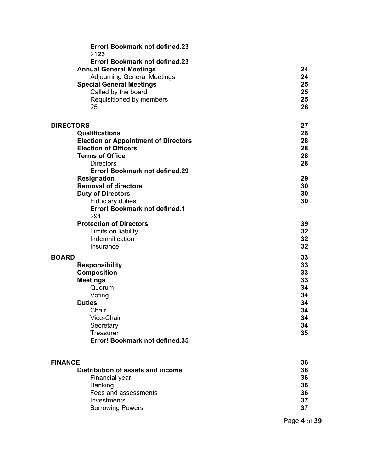| Error! Bookmark not defined.23<br>2123                                |          |
|-----------------------------------------------------------------------|----------|
| Error! Bookmark not defined.23                                        |          |
| <b>Annual General Meetings</b>                                        | 24       |
| <b>Adjourning General Meetings</b><br><b>Special General Meetings</b> | 24<br>25 |
| Called by the board                                                   | 25       |
| Requisitioned by members                                              | 25       |
| 25                                                                    | 26       |
| <b>DIRECTORS</b>                                                      | 27       |
| <b>Qualifications</b>                                                 | 28       |
| <b>Election or Appointment of Directors</b>                           | 28       |
| <b>Election of Officers</b><br><b>Terms of Office</b>                 | 28<br>28 |
| <b>Directors</b>                                                      | 28       |
| <b>Error! Bookmark not defined.29</b>                                 |          |
| <b>Resignation</b>                                                    | 29       |
| <b>Removal of directors</b>                                           | 30       |
| <b>Duty of Directors</b>                                              | 30       |
| <b>Fiduciary duties</b><br><b>Error! Bookmark not defined.1</b>       | 30       |
| 291                                                                   |          |
| <b>Protection of Directors</b>                                        | 39       |
| Limits on liability                                                   | 32       |
| Indemnification                                                       | 32       |
| Insurance                                                             | 32       |
| <b>BOARD</b>                                                          | 33       |
| <b>Responsibility</b>                                                 | 33       |
| <b>Composition</b><br><b>Meetings</b>                                 | 33<br>33 |
| Quorum                                                                | 34       |
| Voting                                                                | 34       |
| <b>Duties</b>                                                         | 34       |
| Chair                                                                 | 34       |
| Vice-Chair                                                            | 34<br>34 |
| Secretary<br>Treasurer                                                | 35       |
| <b>Error! Bookmark not defined.35</b>                                 |          |
|                                                                       |          |
| <b>FINANCE</b><br>Distribution of assets and income                   | 36<br>36 |
| Financial year                                                        | 36       |
| <b>Banking</b>                                                        | 36       |
| Fees and assessments                                                  | 36       |
| Investments                                                           | 37       |
| <b>Borrowing Powers</b>                                               | 37       |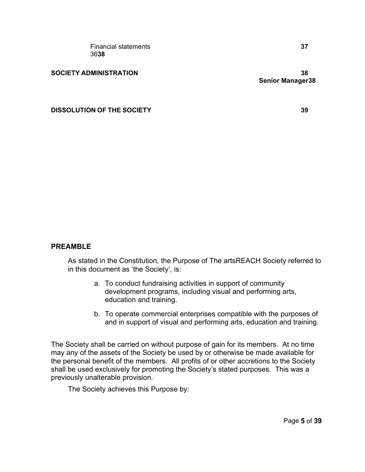**DISSOLUTION OF THE SOCIETY 39**

### **PREAMBLE**

As stated in the Constitution, the Purpose of The artsREACH Society referred to in this document as 'the Society', is:

- a. To conduct fundraising activities in support of community development programs, including visual and performing arts, education and training.
- b. To operate commercial enterprises compatible with the purposes of and in support of visual and performing arts, education and training.

The Society shall be carried on without purpose of gain for its members. At no time may any of the assets of the Society be used by or otherwise be made available for the personal benefit of the members. All profits of or other accretions to the Society shall be used exclusively for promoting the Society's stated purposes. This was a previously unalterable provision.

The Society achieves this Purpose by: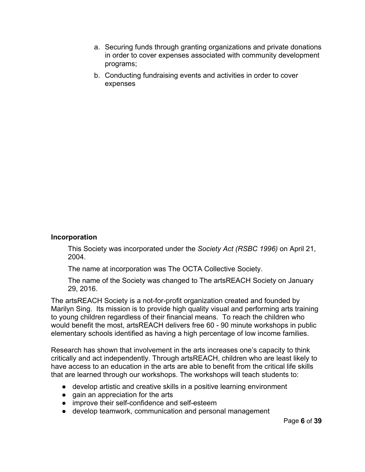- a. Securing funds through granting organizations and private donations in order to cover expenses associated with community development programs;
- <span id="page-6-0"></span>b. Conducting fundraising events and activities in order to cover expenses

### **Incorporation**

This Society was incorporated under the *Society Act (RSBC 1996)* on April 21, 2004.

The name at incorporation was The OCTA Collective Society.

The name of the Society was changed to The artsREACH Society on January 29, 2016.

The artsREACH Society is a not-for-profit organization created and founded by Marilyn Sing. Its mission is to provide high quality visual and performing arts training to young children regardless of their financial means. To reach the children who would benefit the most, artsREACH delivers free 60 - 90 minute workshops in public elementary schools identified as having a high percentage of low income families.

Research has shown that involvement in the arts increases one's capacity to think critically and act independently. Through artsREACH, children who are least likely to have access to an education in the arts are able to benefit from the critical life skills that are learned through our workshops. The workshops will teach students to:

- develop artistic and creative skills in a positive learning environment
- gain an appreciation for the arts
- improve their self-confidence and self-esteem
- develop teamwork, communication and personal management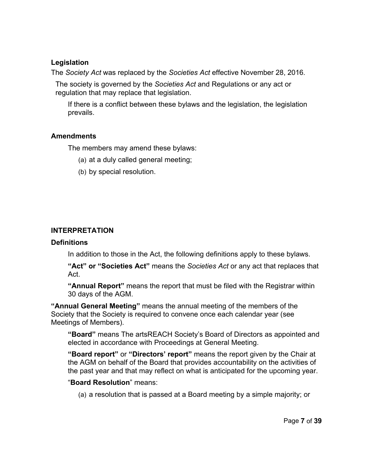### **Legislation**

The *Society Act* was replaced by the *Societies Act* effective November 28, 2016*.*

The society is governed by the *Societies Act* and Regulations or any act or regulation that may replace that legislation.

If there is a conflict between these bylaws and the legislation, the legislation prevails.

# **Amendments**

The members may amend these bylaws:

- (a) at a duly called general meeting;
- <span id="page-7-0"></span>(b) by special resolution.

# **INTERPRETATION**

# **Definitions**

In addition to those in the Act, the following definitions apply to these bylaws.

**"Act" or "Societies Act"** means the *Societies Act* or any act that replaces that Act.

**"Annual Report"** means the report that must be filed with the Registrar within 30 days of the AGM.

**"Annual General Meeting"** means the annual meeting of the members of the Society that the Society is required to convene once each calendar year (see Meetings of Members).

**"Board"** means The artsREACH Society's Board of Directors as appointed and elected in accordance with Proceedings at General Meeting.

**"Board report"** or **"Directors' report"** means the report given by the Chair at the AGM on behalf of the Board that provides accountability on the activities of the past year and that may reflect on what is anticipated for the upcoming year.

# "**Board Resolution**" means:

(a) a resolution that is passed at a Board meeting by a simple majority; or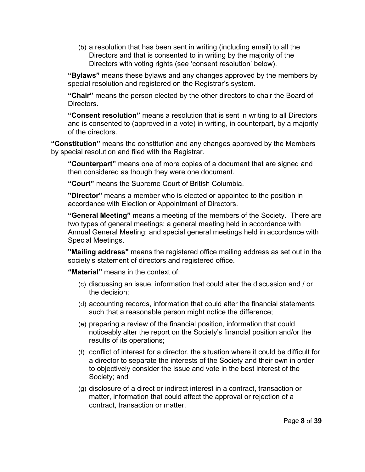(b) a resolution that has been sent in writing (including email) to all the Directors and that is consented to in writing by the majority of the Directors with voting rights (see 'consent resolution' below).

**"Bylaws"** means these bylaws and any changes approved by the members by special resolution and registered on the Registrar's system.

**"Chair"** means the person elected by the other directors to chair the Board of **Directors** 

**"Consent resolution"** means a resolution that is sent in writing to all Directors and is consented to (approved in a vote) in writing, in counterpart, by a majority of the directors.

**"Constitution"** means the constitution and any changes approved by the Members by special resolution and filed with the Registrar.

**"Counterpart"** means one of more copies of a document that are signed and then considered as though they were one document.

**"Court"** means the Supreme Court of British Columbia.

**"Director"** means a member who is elected or appointed to the position in accordance with Election or Appointment of Directors.

**"General Meeting"** means a meeting of the members of the Society. There are two types of general meetings: a general meeting held in accordance with Annual General Meeting; and special general meetings held in accordance with Special Meetings.

**"Mailing address"** means the registered office mailing address as set out in the society's statement of directors and registered office.

**"Material"** means in the context of:

- (c) discussing an issue, information that could alter the discussion and / or the decision;
- (d) accounting records, information that could alter the financial statements such that a reasonable person might notice the difference;
- (e) preparing a review of the financial position, information that could noticeably alter the report on the Society's financial position and/or the results of its operations;
- (f) conflict of interest for a director, the situation where it could be difficult for a director to separate the interests of the Society and their own in order to objectively consider the issue and vote in the best interest of the Society; and
- (g) disclosure of a direct or indirect interest in a contract, transaction or matter, information that could affect the approval or rejection of a contract, transaction or matter.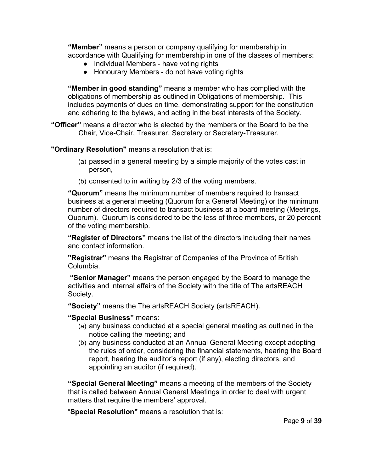**"Member"** means a person or company qualifying for membership in accordance with Qualifying for membership in one of the classes of members:

- Individual Members have voting rights
- Honourary Members do not have voting rights

**"Member in good standing"** means a member who has complied with the obligations of membership as outlined in Obligations of membership. This includes payments of dues on time, demonstrating support for the constitution and adhering to the bylaws, and acting in the best interests of the Society.

**"Officer"** means a director who is elected by the members or the Board to be the Chair, Vice-Chair, Treasurer, Secretary or Secretary-Treasurer.

**"Ordinary Resolution"** means a resolution that is:

- (a) passed in a general meeting by a simple majority of the votes cast in person,
- (b) consented to in writing by 2/3 of the voting members.

**"Quorum"** means the minimum number of members required to transact business at a general meeting (Quorum for a General Meeting) or the minimum number of directors required to transact business at a board meeting (Meetings, Quorum). Quorum is considered to be the less of three members, or 20 percent of the voting membership.

**"Register of Directors"** means the list of the directors including their names and contact information.

**"Registrar"** means the Registrar of Companies of the Province of British Columbia.

**"Senior Manager"** means the person engaged by the Board to manage the activities and internal affairs of the Society with the title of The artsREACH Society.

**"Society"** means the The artsREACH Society (artsREACH).

### **"Special Business"** means:

- (a) any business conducted at a special general meeting as outlined in the notice calling the meeting; and
- (b) any business conducted at an Annual General Meeting except adopting the rules of order, considering the financial statements, hearing the Board report, hearing the auditor's report (if any), electing directors, and appointing an auditor (if required).

**"Special General Meeting"** means a meeting of the members of the Society that is called between Annual General Meetings in order to deal with urgent matters that require the members' approval.

"**Special Resolution"** means a resolution that is: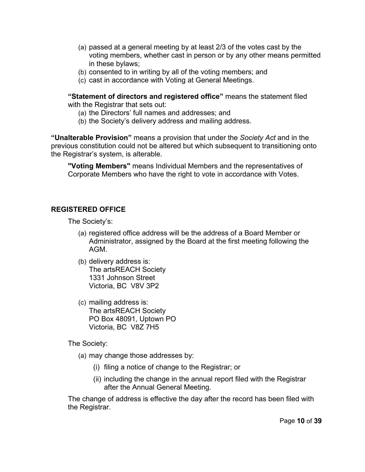- (a) passed at a general meeting by at least 2/3 of the votes cast by the voting members, whether cast in person or by any other means permitted in these bylaws;
- (b) consented to in writing by all of the voting members; and
- (c) cast in accordance with Voting at General Meetings.

**"Statement of directors and registered office"** means the statement filed with the Registrar that sets out:

- (a) the Directors' full names and addresses; and
- (b) the Society's delivery address and mailing address.

**"Unalterable Provision"** means a provision that under the *Society Act* and in the previous constitution could not be altered but which subsequent to transitioning onto the Registrar's system, is alterable.

**"Voting Members"** means Individual Members and the representatives of Corporate Members who have the right to vote in accordance with Votes.

# **REGISTERED OFFICE**

The Society's:

- (a) registered office address will be the address of a Board Member or Administrator, assigned by the Board at the first meeting following the AGM.
- (b) delivery address is: The artsREACH Society 1331 Johnson Street Victoria, BC V8V 3P2
- (c) mailing address is: The artsREACH Society PO Box 48091, Uptown PO Victoria, BC V8Z 7H5

The Society:

- (a) may change those addresses by:
	- (i) filing a notice of change to the Registrar; or
	- (ii) including the change in the annual report filed with the Registrar after the Annual General Meeting.

The change of address is effective the day after the record has been filed with the Registrar.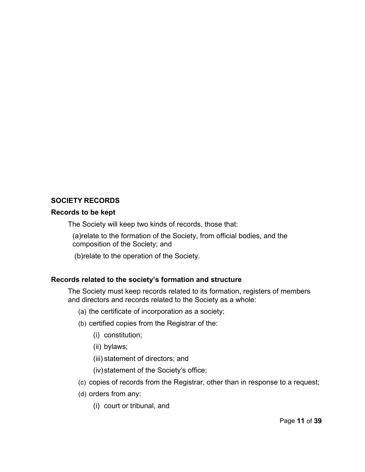# **SOCIETY RECORDS**

### **Records to be kept**

The Society will keep two kinds of records, those that:

(a)relate to the formation of the Society, from official bodies, and the composition of the Society; and

(b)relate to the operation of the Society.

# **Records related to the society's formation and structure**

The Society must keep records related to its formation, registers of members and directors and records related to the Society as a whole:

- (a) the certificate of incorporation as a society;
- (b) certified copies from the Registrar of the:
	- (i) constitution;
	- (ii) bylaws;
	- (iii) statement of directors; and
	- (iv)statement of the Society's office;
- (c) copies of records from the Registrar, other than in response to a request;
- (d) orders from any:
	- (i) court or tribunal, and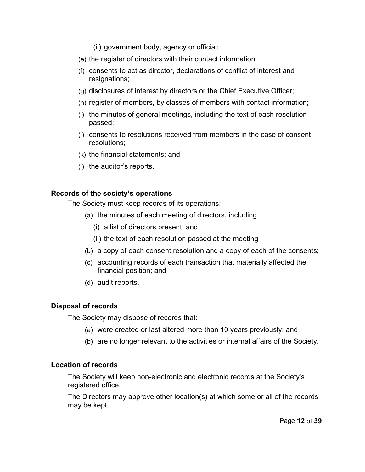- (ii) government body, agency or official;
- (e) the register of directors with their contact information;
- (f) consents to act as director, declarations of conflict of interest and resignations;
- (g) disclosures of interest by directors or the Chief Executive Officer;
- (h) register of members, by classes of members with contact information;
- (i) the minutes of general meetings, including the text of each resolution passed;
- (j) consents to resolutions received from members in the case of consent resolutions;
- (k) the financial statements; and
- (l) the auditor's reports.

## **Records of the society's operations**

The Society must keep records of its operations:

- (a) the minutes of each meeting of directors, including
	- (i) a list of directors present, and
	- (ii) the text of each resolution passed at the meeting
- (b) a copy of each consent resolution and a copy of each of the consents;
- (c) accounting records of each transaction that materially affected the financial position; and
- (d) audit reports.

# **Disposal of records**

The Society may dispose of records that:

- (a) were created or last altered more than 10 years previously; and
- (b) are no longer relevant to the activities or internal affairs of the Society.

# **Location of records**

The Society will keep non-electronic and electronic records at the Society's registered office.

The Directors may approve other location(s) at which some or all of the records may be kept.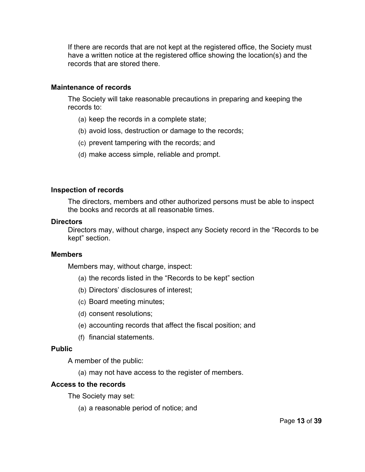If there are records that are not kept at the registered office, the Society must have a written notice at the registered office showing the location(s) and the records that are stored there.

### **Maintenance of records**

The Society will take reasonable precautions in preparing and keeping the records to:

- (a) keep the records in a complete state;
- (b) avoid loss, destruction or damage to the records;
- (c) prevent tampering with the records; and
- (d) make access simple, reliable and prompt.

## **Inspection of records**

The directors, members and other authorized persons must be able to inspect the books and records at all reasonable times.

### **Directors**

Directors may, without charge, inspect any Society record in the "Records to be kept" section.

### **Members**

Members may, without charge, inspect:

- (a) the records listed in the "Records to be kept" section
- (b) Directors' disclosures of interest;
- (c) Board meeting minutes;
- (d) consent resolutions;
- (e) accounting records that affect the fiscal position; and
- (f) financial statements.

### **Public**

A member of the public:

(a) may not have access to the register of members.

### **Access to the records**

The Society may set:

(a) a reasonable period of notice; and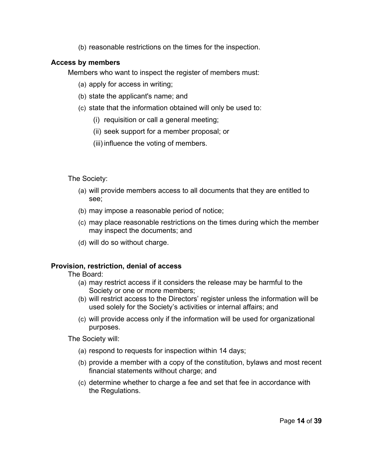(b) reasonable restrictions on the times for the inspection.

# **Access by members**

Members who want to inspect the register of members must:

- (a) apply for access in writing;
- (b) state the applicant's name; and
- (c) state that the information obtained will only be used to:
	- (i) requisition or call a general meeting;
	- (ii) seek support for a member proposal; or
	- (iii) influence the voting of members.

The Society:

- (a) will provide members access to all documents that they are entitled to see;
- (b) may impose a reasonable period of notice;
- (c) may place reasonable restrictions on the times during which the member may inspect the documents; and
- (d) will do so without charge.

# **Provision, restriction, denial of access**

The Board:

- (a) may restrict access if it considers the release may be harmful to the Society or one or more members;
- (b) will restrict access to the Directors' register unless the information will be used solely for the Society's activities or internal affairs; and
- (c) will provide access only if the information will be used for organizational purposes.

The Society will:

- (a) respond to requests for inspection within 14 days;
- (b) provide a member with a copy of the constitution, bylaws and most recent financial statements without charge; and
- (c) determine whether to charge a fee and set that fee in accordance with the Regulations.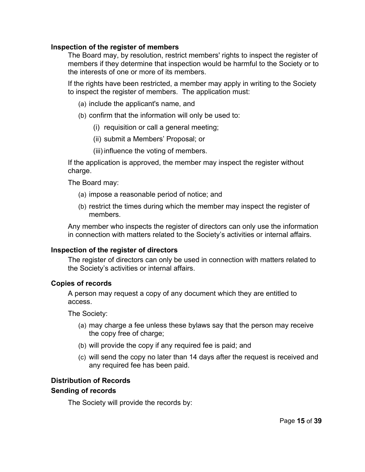### **Inspection of the register of members**

The Board may, by resolution, restrict members' rights to inspect the register of members if they determine that inspection would be harmful to the Society or to the interests of one or more of its members.

If the rights have been restricted, a member may apply in writing to the Society to inspect the register of members. The application must:

- (a) include the applicant's name, and
- (b) confirm that the information will only be used to:
	- (i) requisition or call a general meeting;
	- (ii) submit a Members' Proposal; or
	- (iii) influence the voting of members.

If the application is approved, the member may inspect the register without charge.

The Board may:

- (a) impose a reasonable period of notice; and
- (b) restrict the times during which the member may inspect the register of members.

Any member who inspects the register of directors can only use the information in connection with matters related to the Society's activities or internal affairs.

#### **Inspection of the register of directors**

The register of directors can only be used in connection with matters related to the Society's activities or internal affairs.

### **Copies of records**

A person may request a copy of any document which they are entitled to access.

The Society:

- (a) may charge a fee unless these bylaws say that the person may receive the copy free of charge;
- (b) will provide the copy if any required fee is paid; and
- (c) will send the copy no later than 14 days after the request is received and any required fee has been paid.

# **Distribution of Records**

#### **Sending of records**

The Society will provide the records by: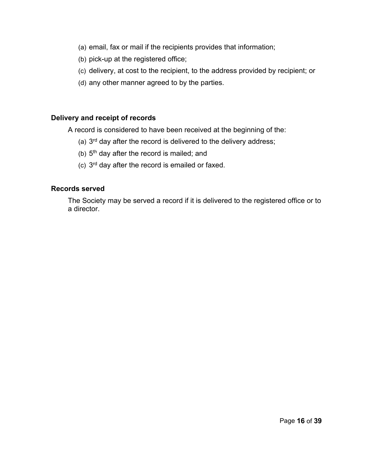- (a) email, fax or mail if the recipients provides that information;
- (b) pick-up at the registered office;
- (c) delivery, at cost to the recipient, to the address provided by recipient; or
- (d) any other manner agreed to by the parties.

# **Delivery and receipt of records**

A record is considered to have been received at the beginning of the:

- (a)  $3<sup>rd</sup>$  day after the record is delivered to the delivery address;
- (b)  $5<sup>th</sup>$  day after the record is mailed; and
- (c)  $3<sup>rd</sup>$  day after the record is emailed or faxed.

# **Records served**

The Society may be served a record if it is delivered to the registered office or to a director.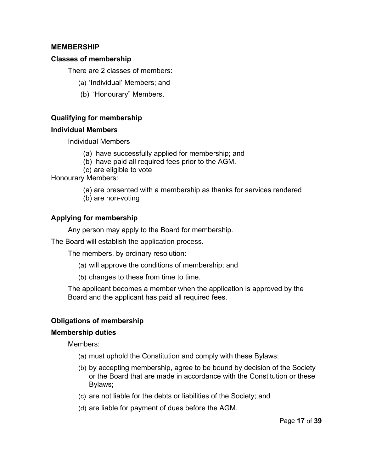## **MEMBERSHIP**

### **Classes of membership**

There are 2 classes of members:

- (a) 'Individual' Members; and
- (b) 'Honourary" Members.

# **Qualifying for membership**

## **Individual Members**

Individual Members

- (a) have successfully applied for membership; and
- (b) have paid all required fees prior to the AGM.
- (c) are eligible to vote

Honourary Members:

- (a) are presented with a membership as thanks for services rendered
- (b) are non-voting

# **Applying for membership**

Any person may apply to the Board for membership.

The Board will establish the application process.

The members, by ordinary resolution:

- (a) will approve the conditions of membership; and
- (b) changes to these from time to time.

The applicant becomes a member when the application is approved by the Board and the applicant has paid all required fees.

# **Obligations of membership**

### **Membership duties**

Members:

- (a) must uphold the Constitution and comply with these Bylaws;
- (b) by accepting membership, agree to be bound by decision of the Society or the Board that are made in accordance with the Constitution or these Bylaws;
- (c) are not liable for the debts or liabilities of the Society; and
- (d) are liable for payment of dues before the AGM.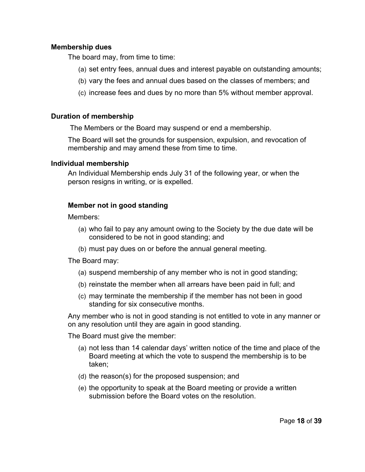### **Membership dues**

The board may, from time to time:

- (a) set entry fees, annual dues and interest payable on outstanding amounts;
- (b) vary the fees and annual dues based on the classes of members; and
- (c) increase fees and dues by no more than 5% without member approval.

## **Duration of membership**

The Members or the Board may suspend or end a membership.

The Board will set the grounds for suspension, expulsion, and revocation of membership and may amend these from time to time.

## **Individual membership**

An Individual Membership ends July 31 of the following year, or when the person resigns in writing, or is expelled.

# **Member not in good standing**

Members:

- (a) who fail to pay any amount owing to the Society by the due date will be considered to be not in good standing; and
- (b) must pay dues on or before the annual general meeting.

The Board may:

- (a) suspend membership of any member who is not in good standing;
- (b) reinstate the member when all arrears have been paid in full; and
- (c) may terminate the membership if the member has not been in good standing for six consecutive months.

Any member who is not in good standing is not entitled to vote in any manner or on any resolution until they are again in good standing.

The Board must give the member:

- (a) not less than 14 calendar days' written notice of the time and place of the Board meeting at which the vote to suspend the membership is to be taken;
- (d) the reason(s) for the proposed suspension; and
- (e) the opportunity to speak at the Board meeting or provide a written submission before the Board votes on the resolution.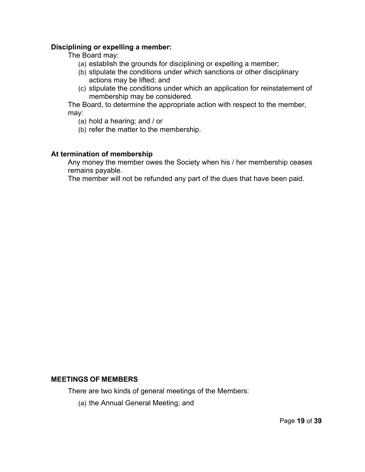### **Disciplining or expelling a member:**

The Board may:

- (a) establish the grounds for disciplining or expelling a member;
- (b) stipulate the conditions under which sanctions or other disciplinary actions may be lifted; and
- (c) stipulate the conditions under which an application for reinstatement of membership may be considered.

The Board, to determine the appropriate action with respect to the member, may:

- (a) hold a hearing; and / or
- (b) refer the matter to the membership.

## **At termination of membership**

Any money the member owes the Society when his / her membership ceases remains payable.

The member will not be refunded any part of the dues that have been paid.

#### **MEETINGS OF MEMBERS**

There are two kinds of general meetings of the Members:

(a) the Annual General Meeting; and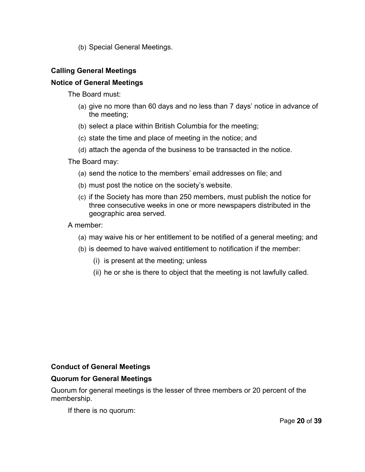(b) Special General Meetings.

# **Calling General Meetings**

## **Notice of General Meetings**

The Board must:

- (a) give no more than 60 days and no less than 7 days' notice in advance of the meeting;
- (b) select a place within British Columbia for the meeting;
- (c) state the time and place of meeting in the notice; and
- (d) attach the agenda of the business to be transacted in the notice.

The Board may:

- (a) send the notice to the members' email addresses on file; and
- (b) must post the notice on the society's website.
- (c) if the Society has more than 250 members, must publish the notice for three consecutive weeks in one or more newspapers distributed in the geographic area served.

A member:

- (a) may waive his or her entitlement to be notified of a general meeting; and
- (b) is deemed to have waived entitlement to notification if the member:
	- (i) is present at the meeting; unless
	- (ii) he or she is there to object that the meeting is not lawfully called.

### **Conduct of General Meetings**

### **Quorum for General Meetings**

Quorum for general meetings is the lesser of three members or 20 percent of the membership.

If there is no quorum: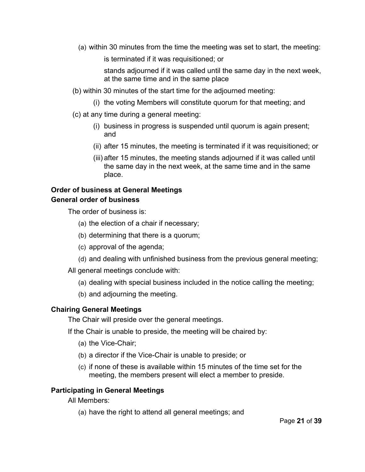(a) within 30 minutes from the time the meeting was set to start, the meeting:

is terminated if it was requisitioned; or

stands adjourned if it was called until the same day in the next week, at the same time and in the same place

- (b) within 30 minutes of the start time for the adjourned meeting:
	- (i) the voting Members will constitute quorum for that meeting; and
- (c) at any time during a general meeting:
	- (i) business in progress is suspended until quorum is again present; and
	- (ii) after 15 minutes, the meeting is terminated if it was requisitioned; or
	- (iii) after 15 minutes, the meeting stands adjourned if it was called until the same day in the next week, at the same time and in the same place.

## **Order of business at General Meetings General order of business**

The order of business is:

- (a) the election of a chair if necessary;
- (b) determining that there is a quorum;
- (c) approval of the agenda;
- (d) and dealing with unfinished business from the previous general meeting;
- All general meetings conclude with:
	- (a) dealing with special business included in the notice calling the meeting;
	- (b) and adjourning the meeting.

# **Chairing General Meetings**

The Chair will preside over the general meetings.

If the Chair is unable to preside, the meeting will be chaired by:

- (a) the Vice-Chair;
- (b) a director if the Vice-Chair is unable to preside; or
- (c) if none of these is available within 15 minutes of the time set for the meeting, the members present will elect a member to preside.

# **Participating in General Meetings**

All Members:

(a) have the right to attend all general meetings; and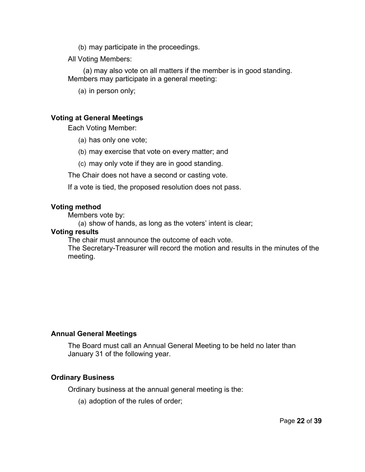- (b) may participate in the proceedings.
- All Voting Members:

(a) may also vote on all matters if the member is in good standing. Members may participate in a general meeting:

(a) in person only;

### **Voting at General Meetings**

Each Voting Member:

- (a) has only one vote;
- (b) may exercise that vote on every matter; and
- (c) may only vote if they are in good standing.
- The Chair does not have a second or casting vote.

If a vote is tied, the proposed resolution does not pass.

#### **Voting method**

Members vote by:

(a) show of hands, as long as the voters' intent is clear;

#### **Voting results**

The chair must announce the outcome of each vote.

The Secretary-Treasurer will record the motion and results in the minutes of the meeting.

### **Annual General Meetings**

The Board must call an Annual General Meeting to be held no later than January 31 of the following year.

#### **Ordinary Business**

Ordinary business at the annual general meeting is the:

(a) adoption of the rules of order;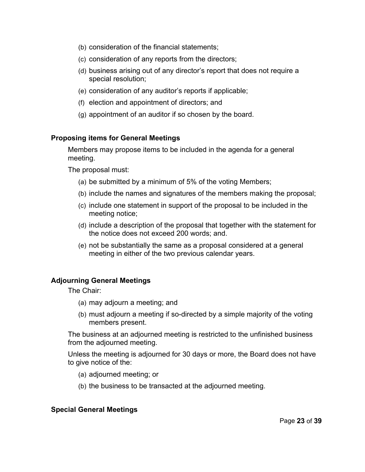- (b) consideration of the financial statements;
- (c) consideration of any reports from the directors;
- (d) business arising out of any director's report that does not require a special resolution;
- (e) consideration of any auditor's reports if applicable;
- (f) election and appointment of directors; and
- (g) appointment of an auditor if so chosen by the board.

### **Proposing items for General Meetings**

Members may propose items to be included in the agenda for a general meeting.

The proposal must:

- (a) be submitted by a minimum of 5% of the voting Members;
- (b) include the names and signatures of the members making the proposal;
- (c) include one statement in support of the proposal to be included in the meeting notice;
- (d) include a description of the proposal that together with the statement for the notice does not exceed 200 words; and.
- (e) not be substantially the same as a proposal considered at a general meeting in either of the two previous calendar years.

### **Adjourning General Meetings**

The Chair:

- (a) may adjourn a meeting; and
- (b) must adjourn a meeting if so-directed by a simple majority of the voting members present.

The business at an adjourned meeting is restricted to the unfinished business from the adjourned meeting.

Unless the meeting is adjourned for 30 days or more, the Board does not have to give notice of the:

- (a) adjourned meeting; or
- (b) the business to be transacted at the adjourned meeting.

### **Special General Meetings**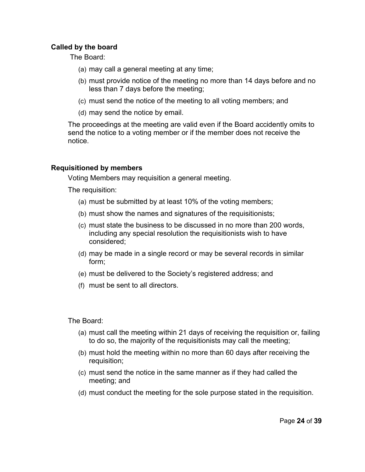### **Called by the board**

The Board:

- (a) may call a general meeting at any time;
- (b) must provide notice of the meeting no more than 14 days before and no less than 7 days before the meeting;
- (c) must send the notice of the meeting to all voting members; and
- (d) may send the notice by email.

The proceedings at the meeting are valid even if the Board accidently omits to send the notice to a voting member or if the member does not receive the notice.

## **Requisitioned by members**

Voting Members may requisition a general meeting.

The requisition:

- (a) must be submitted by at least 10% of the voting members;
- (b) must show the names and signatures of the requisitionists;
- (c) must state the business to be discussed in no more than 200 words, including any special resolution the requisitionists wish to have considered;
- (d) may be made in a single record or may be several records in similar form;
- (e) must be delivered to the Society's registered address; and
- (f) must be sent to all directors.

The Board:

- (a) must call the meeting within 21 days of receiving the requisition or, failing to do so, the majority of the requisitionists may call the meeting;
- (b) must hold the meeting within no more than 60 days after receiving the requisition;
- (c) must send the notice in the same manner as if they had called the meeting; and
- (d) must conduct the meeting for the sole purpose stated in the requisition.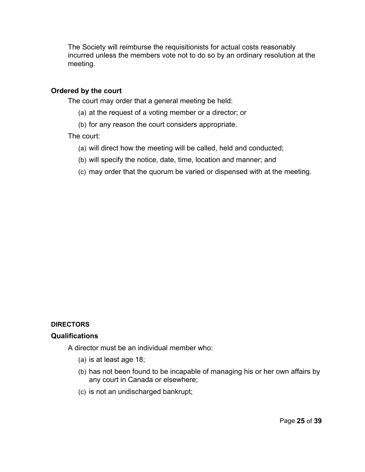The Society will reimburse the requisitionists for actual costs reasonably incurred unless the members vote not to do so by an ordinary resolution at the meeting.

## **Ordered by the court**

The court may order that a general meeting be held:

- (a) at the request of a voting member or a director; or
- (b) for any reason the court considers appropriate.

### The court:

- (a) will direct how the meeting will be called, held and conducted;
- (b) will specify the notice, date, time, location and manner; and
- (c) may order that the quorum be varied or dispensed with at the meeting.

### **DIRECTORS**

### **Qualifications**

A director must be an individual member who:

- (a) is at least age 18;
- (b) has not been found to be incapable of managing his or her own affairs by any court in Canada or elsewhere;
- (c) is not an undischarged bankrupt;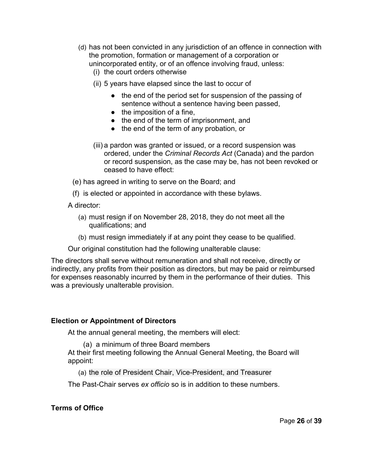- (d) has not been convicted in any jurisdiction of an offence in connection with the promotion, formation or management of a corporation or unincorporated entity, or of an offence involving fraud, unless:
	- (i) the court orders otherwise
	- (ii) 5 years have elapsed since the last to occur of
		- the end of the period set for suspension of the passing of sentence without a sentence having been passed,
		- $\bullet$  the imposition of a fine,
		- the end of the term of imprisonment, and
		- the end of the term of any probation, or
	- (iii) a pardon was granted or issued, or a record suspension was ordered, under the *Criminal Records Act* (Canada) and the pardon or record suspension, as the case may be, has not been revoked or ceased to have effect:

(e) has agreed in writing to serve on the Board; and

(f) is elected or appointed in accordance with these bylaws.

A director:

- (a) must resign if on November 28, 2018, they do not meet all the qualifications; and
- (b) must resign immediately if at any point they cease to be qualified.

Our original constitution had the following unalterable clause:

The directors shall serve without remuneration and shall not receive, directly or indirectly, any profits from their position as directors, but may be paid or reimbursed for expenses reasonably incurred by them in the performance of their duties. This was a previously unalterable provision.

### **Election or Appointment of Directors**

At the annual general meeting, the members will elect:

(a) a minimum of three Board members

At their first meeting following the Annual General Meeting, the Board will appoint:

(a) the role of President Chair, Vice-President, and Treasurer

The Past-Chair serves *ex officio* so is in addition to these numbers.

**Terms of Office**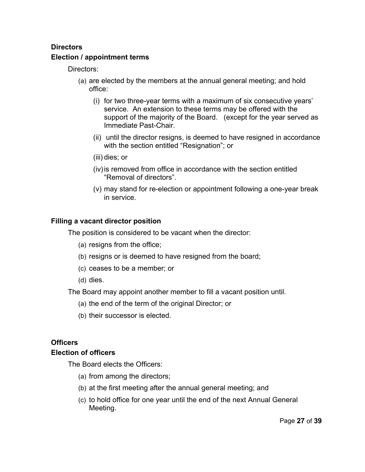# **Directors Election / appointment terms**

Directors:

- (a) are elected by the members at the annual general meeting; and hold office:
	- (i) for two three-year terms with a maximum of six consecutive years' service. An extension to these terms may be offered with the support of the majority of the Board. (except for the year served as Immediate Past-Chair.
	- (ii) until the director resigns, is deemed to have resigned in accordance with the section entitled "Resignation"; or
	- (iii) dies; or
	- (iv)is removed from office in accordance with the section entitled "Removal of directors".
	- (v) may stand for re-election or appointment following a one-year break in service.

# **Filling a vacant director position**

The position is considered to be vacant when the director:

- (a) resigns from the office;
- (b) resigns or is deemed to have resigned from the board;
- (c) ceases to be a member; or
- (d) dies.

The Board may appoint another member to fill a vacant position until.

- (a) the end of the term of the original Director; or
- (b) their successor is elected.

# **Officers**

# **Election of officers**

The Board elects the Officers:

- (a) from among the directors;
- (b) at the first meeting after the annual general meeting; and
- (c) to hold office for one year until the end of the next Annual General Meeting.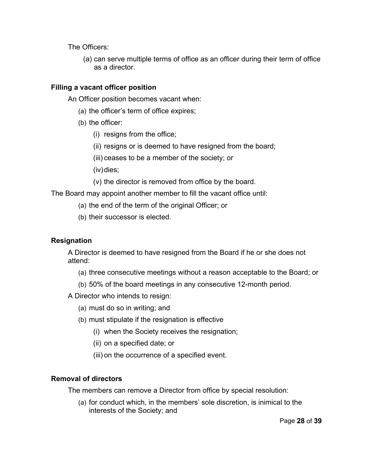The Officers:

(a) can serve multiple terms of office as an officer during their term of office as a director.

# **Filling a vacant officer position**

An Officer position becomes vacant when:

- (a) the officer's term of office expires;
- (b) the officer:
	- (i) resigns from the office;
	- (ii) resigns or is deemed to have resigned from the board;
	- (iii) ceases to be a member of the society; or
	- (iv)dies;
	- (v) the director is removed from office by the board.

The Board may appoint another member to fill the vacant office until:

- (a) the end of the term of the original Officer; or
- (b) their successor is elected.

# **Resignation**

A Director is deemed to have resigned from the Board if he or she does not attend:

- (a) three consecutive meetings without a reason acceptable to the Board; or
- (b) 50% of the board meetings in any consecutive 12-month period.

A Director who intends to resign:

- (a) must do so in writing; and
- (b) must stipulate if the resignation is effective
	- (i) when the Society receives the resignation;
	- (ii) on a specified date; or
	- (iii) on the occurrence of a specified event.

# **Removal of directors**

The members can remove a Director from office by special resolution:

(a) for conduct which, in the members' sole discretion, is inimical to the interests of the Society; and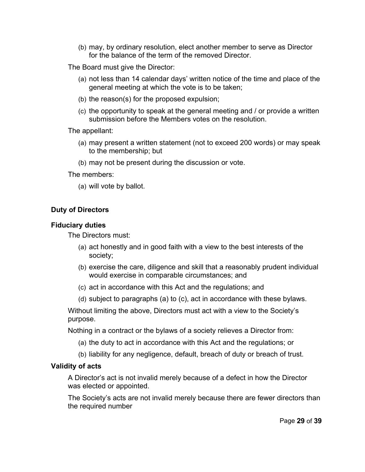(b) may, by ordinary resolution, elect another member to serve as Director for the balance of the term of the removed Director.

The Board must give the Director:

- (a) not less than 14 calendar days' written notice of the time and place of the general meeting at which the vote is to be taken;
- (b) the reason(s) for the proposed expulsion;
- (c) the opportunity to speak at the general meeting and / or provide a written submission before the Members votes on the resolution.

The appellant:

- (a) may present a written statement (not to exceed 200 words) or may speak to the membership; but
- (b) may not be present during the discussion or vote.

The members:

(a) will vote by ballot.

## **Duty of Directors**

### **Fiduciary duties**

The Directors must:

- (a) act honestly and in good faith with a view to the best interests of the society;
- (b) exercise the care, diligence and skill that a reasonably prudent individual would exercise in comparable circumstances; and
- (c) act in accordance with this Act and the regulations; and
- (d) subject to paragraphs (a) to (c), act in accordance with these bylaws.

Without limiting the above, Directors must act with a view to the Society's purpose.

Nothing in a contract or the bylaws of a society relieves a Director from:

- (a) the duty to act in accordance with this Act and the regulations; or
- (b) liability for any negligence, default, breach of duty or breach of trust.

### **Validity of acts**

A Director's act is not invalid merely because of a defect in how the Director was elected or appointed.

The Society's acts are not invalid merely because there are fewer directors than the required number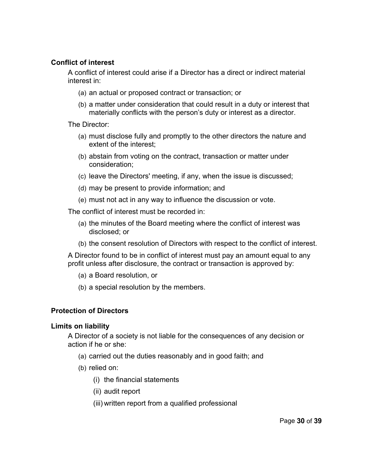## **Conflict of interest**

A conflict of interest could arise if a Director has a direct or indirect material interest in:

- (a) an actual or proposed contract or transaction; or
- (b) a matter under consideration that could result in a duty or interest that materially conflicts with the person's duty or interest as a director.

The Director:

- (a) must disclose fully and promptly to the other directors the nature and extent of the interest;
- (b) abstain from voting on the contract, transaction or matter under consideration;
- (c) leave the Directors' meeting, if any, when the issue is discussed;
- (d) may be present to provide information; and
- (e) must not act in any way to influence the discussion or vote.

The conflict of interest must be recorded in:

- (a) the minutes of the Board meeting where the conflict of interest was disclosed; or
- (b) the consent resolution of Directors with respect to the conflict of interest.

A Director found to be in conflict of interest must pay an amount equal to any profit unless after disclosure, the contract or transaction is approved by:

(a) a Board resolution, or

(b) a special resolution by the members.

# **Protection of Directors**

### **Limits on liability**

A Director of a society is not liable for the consequences of any decision or action if he or she:

- (a) carried out the duties reasonably and in good faith; and
- (b) relied on:
	- (i) the financial statements
	- (ii) audit report
	- (iii) written report from a qualified professional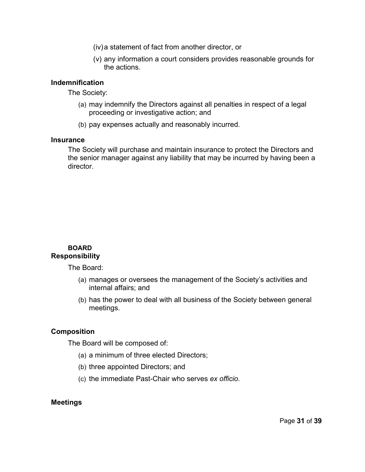- (iv)a statement of fact from another director, or
- (v) any information a court considers provides reasonable grounds for the actions.

### **Indemnification**

The Society:

- (a) may indemnify the Directors against all penalties in respect of a legal proceeding or investigative action; and
- (b) pay expenses actually and reasonably incurred.

### **Insurance**

The Society will purchase and maintain insurance to protect the Directors and the senior manager against any liability that may be incurred by having been a director.

### **BOARD Responsibility**

The Board:

- (a) manages or oversees the management of the Society's activities and internal affairs; and
- (b) has the power to deal with all business of the Society between general meetings.

# **Composition**

The Board will be composed of:

- (a) a minimum of three elected Directors;
- (b) three appointed Directors; and
- (c) the immediate Past-Chair who serves *ex officio.*

### **Meetings**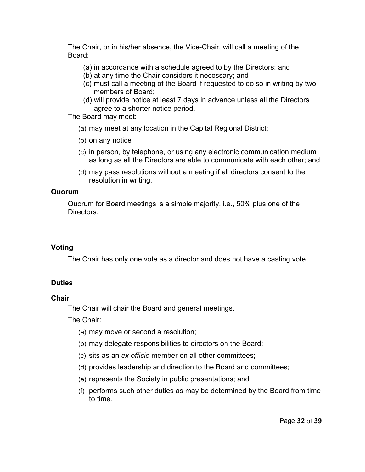The Chair, or in his/her absence, the Vice-Chair, will call a meeting of the Board:

- (a) in accordance with a schedule agreed to by the Directors; and
- (b) at any time the Chair considers it necessary; and
- (c) must call a meeting of the Board if requested to do so in writing by two members of Board;
- (d) will provide notice at least 7 days in advance unless all the Directors agree to a shorter notice period.

The Board may meet:

- (a) may meet at any location in the Capital Regional District;
- (b) on any notice
- (c) in person, by telephone, or using any electronic communication medium as long as all the Directors are able to communicate with each other; and
- (d) may pass resolutions without a meeting if all directors consent to the resolution in writing.

## **Quorum**

Quorum for Board meetings is a simple majority, i.e., 50% plus one of the Directors.

# **Voting**

The Chair has only one vote as a director and does not have a casting vote.

# **Duties**

# **Chair**

The Chair will chair the Board and general meetings.

The Chair:

- (a) may move or second a resolution;
- (b) may delegate responsibilities to directors on the Board;
- (c) sits as an *ex officio* member on all other committees;
- (d) provides leadership and direction to the Board and committees;
- (e) represents the Society in public presentations; and
- (f) performs such other duties as may be determined by the Board from time to time.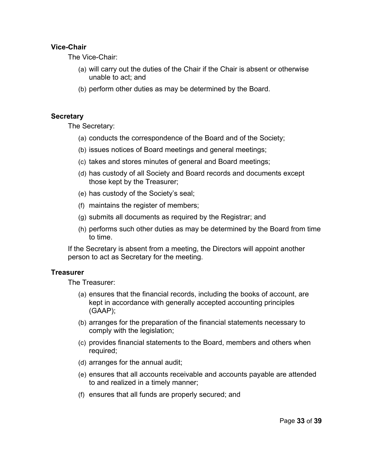# **Vice-Chair**

The Vice-Chair:

- (a) will carry out the duties of the Chair if the Chair is absent or otherwise unable to act; and
- (b) perform other duties as may be determined by the Board.

### **Secretary**

The Secretary:

- (a) conducts the correspondence of the Board and of the Society;
- (b) issues notices of Board meetings and general meetings;
- (c) takes and stores minutes of general and Board meetings;
- (d) has custody of all Society and Board records and documents except those kept by the Treasurer;
- (e) has custody of the Society's seal;
- (f) maintains the register of members;
- (g) submits all documents as required by the Registrar; and
- (h) performs such other duties as may be determined by the Board from time to time.

If the Secretary is absent from a meeting, the Directors will appoint another person to act as Secretary for the meeting.

# **Treasurer**

The Treasurer:

- (a) ensures that the financial records, including the books of account, are kept in accordance with generally accepted accounting principles (GAAP);
- (b) arranges for the preparation of the financial statements necessary to comply with the legislation;
- (c) provides financial statements to the Board, members and others when required;
- (d) arranges for the annual audit;
- (e) ensures that all accounts receivable and accounts payable are attended to and realized in a timely manner;
- (f) ensures that all funds are properly secured; and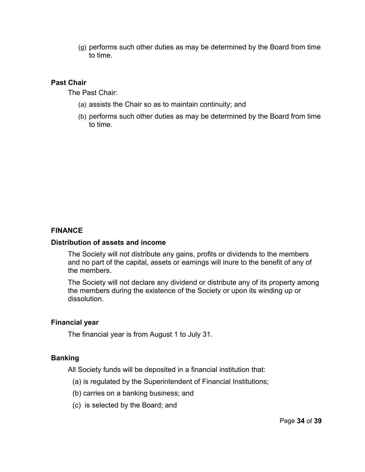(g) performs such other duties as may be determined by the Board from time to time.

## **Past Chair**

The Past Chair:

- (a) assists the Chair so as to maintain continuity; and
- (b) performs such other duties as may be determined by the Board from time to time.

## **FINANCE**

### **Distribution of assets and income**

The Society will not distribute any gains, profits or dividends to the members and no part of the capital, assets or earnings will inure to the benefit of any of the members.

The Society will not declare any dividend or distribute any of its property among the members during the existence of the Society or upon its winding up or dissolution.

## **Financial year**

The financial year is from August 1 to July 31.

### **Banking**

All Society funds will be deposited in a financial institution that:

- (a) is regulated by the Superintendent of Financial Institutions;
- (b) carries on a banking business; and
- (c) is selected by the Board; and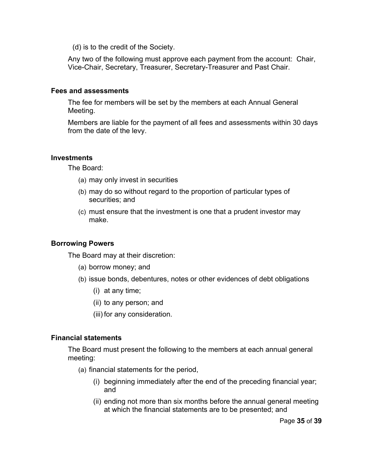(d) is to the credit of the Society.

Any two of the following must approve each payment from the account: Chair, Vice-Chair, Secretary, Treasurer, Secretary-Treasurer and Past Chair.

### **Fees and assessments**

The fee for members will be set by the members at each Annual General Meeting.

Members are liable for the payment of all fees and assessments within 30 days from the date of the levy.

### **Investments**

The Board:

- (a) may only invest in securities
- (b) may do so without regard to the proportion of particular types of securities; and
- (c) must ensure that the investment is one that a prudent investor may make.

### **Borrowing Powers**

The Board may at their discretion:

- (a) borrow money; and
- (b) issue bonds, debentures, notes or other evidences of debt obligations
	- (i) at any time;
	- (ii) to any person; and
	- (iii) for any consideration.

### **Financial statements**

The Board must present the following to the members at each annual general meeting:

- (a) financial statements for the period,
	- (i) beginning immediately after the end of the preceding financial year; and
	- (ii) ending not more than six months before the annual general meeting at which the financial statements are to be presented; and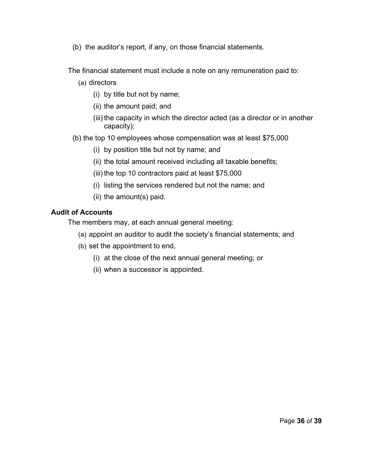(b) the auditor's report, if any, on those financial statements.

The financial statement must include a note on any remuneration paid to:

- (a) directors
	- (i) by title but not by name;
	- (ii) the amount paid; and
	- (iii) the capacity in which the director acted (as a director or in another capacity);
- (b) the top 10 employees whose compensation was at least \$75,000
	- (i) by position title but not by name; and
	- (ii) the total amount received including all taxable benefits;
	- (iii) the top 10 contractors paid at least \$75,000
	- (i) listing the services rendered but not the name; and
	- (ii) the amount(s) paid.

# **Audit of Accounts**

The members may, at each annual general meeting:

- (a) appoint an auditor to audit the society's financial statements; and
- (b) set the appointment to end,
	- (i) at the close of the next annual general meeting; or
	- (ii) when a successor is appointed.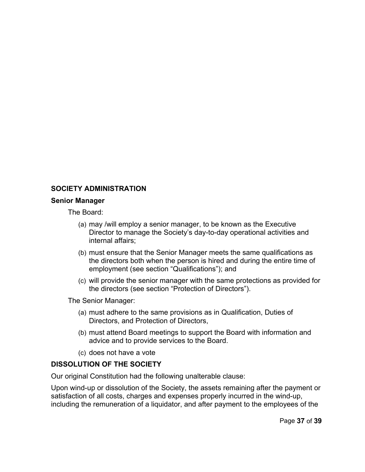# **SOCIETY ADMINISTRATION**

#### **Senior Manager**

The Board:

- (a) may /will employ a senior manager, to be known as the Executive Director to manage the Society's day-to-day operational activities and internal affairs;
- (b) must ensure that the Senior Manager meets the same qualifications as the directors both when the person is hired and during the entire time of employment (see section "Qualifications"); and
- (c) will provide the senior manager with the same protections as provided for the directors (see section "Protection of Directors").

The Senior Manager:

- (a) must adhere to the same provisions as in Qualification, Duties of Directors, and Protection of Directors,
- (b) must attend Board meetings to support the Board with information and advice and to provide services to the Board.
- (c) does not have a vote

# **DISSOLUTION OF THE SOCIETY**

Our original Constitution had the following unalterable clause:

Upon wind-up or dissolution of the Society, the assets remaining after the payment or satisfaction of all costs, charges and expenses properly incurred in the wind-up, including the remuneration of a liquidator, and after payment to the employees of the